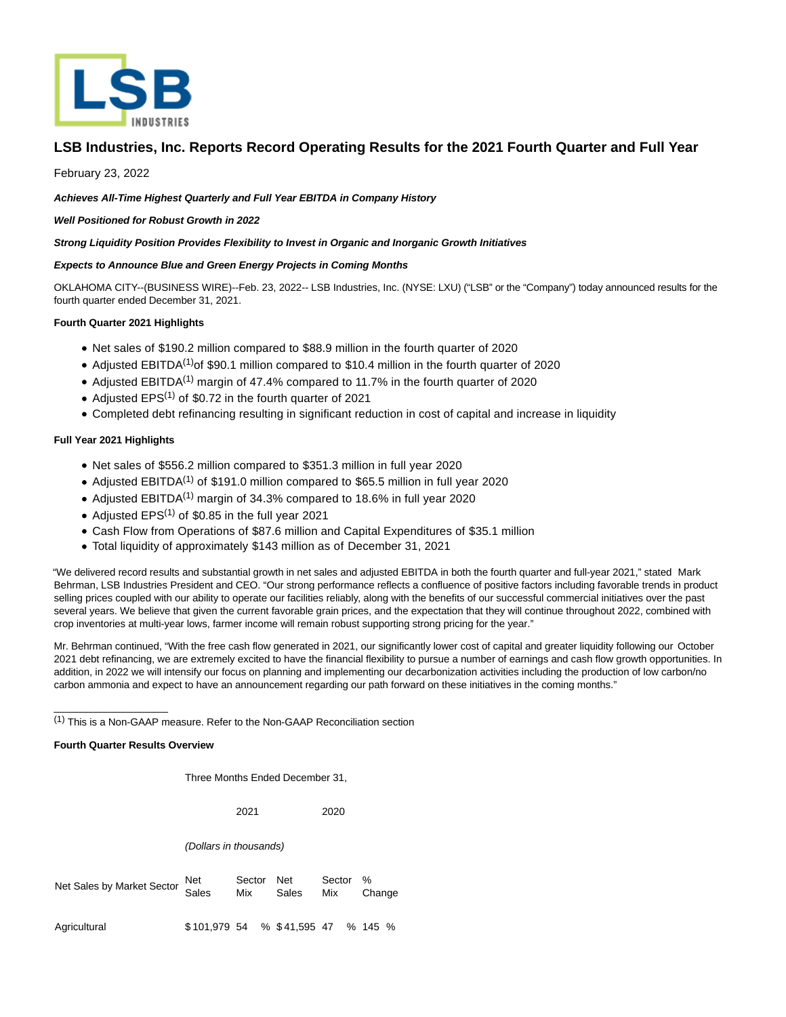

# **LSB Industries, Inc. Reports Record Operating Results for the 2021 Fourth Quarter and Full Year**

# February 23, 2022

# **Achieves All-Time Highest Quarterly and Full Year EBITDA in Company History**

# **Well Positioned for Robust Growth in 2022**

## **Strong Liquidity Position Provides Flexibility to Invest in Organic and Inorganic Growth Initiatives**

# **Expects to Announce Blue and Green Energy Projects in Coming Months**

OKLAHOMA CITY--(BUSINESS WIRE)--Feb. 23, 2022-- LSB Industries, Inc. (NYSE: LXU) ("LSB" or the "Company") today announced results for the fourth quarter ended December 31, 2021.

# **Fourth Quarter 2021 Highlights**

- Net sales of \$190.2 million compared to \$88.9 million in the fourth quarter of 2020
- Adjusted EBITDA<sup>(1)</sup>of \$90.1 million compared to \$10.4 million in the fourth quarter of 2020
- Adjusted EBITDA<sup>(1)</sup> margin of 47.4% compared to 11.7% in the fourth quarter of 2020
- Adjusted  $EPS<sup>(1)</sup>$  of \$0.72 in the fourth quarter of 2021
- Completed debt refinancing resulting in significant reduction in cost of capital and increase in liquidity

# **Full Year 2021 Highlights**

- Net sales of \$556.2 million compared to \$351.3 million in full year 2020
- Adjusted EBITDA<sup>(1)</sup> of \$191.0 million compared to \$65.5 million in full year 2020
- Adjusted EBITDA<sup>(1)</sup> margin of 34.3% compared to 18.6% in full year 2020
- Adjusted  $EPS<sup>(1)</sup>$  of \$0.85 in the full year 2021
- Cash Flow from Operations of \$87.6 million and Capital Expenditures of \$35.1 million
- Total liquidity of approximately \$143 million as of December 31, 2021

"We delivered record results and substantial growth in net sales and adjusted EBITDA in both the fourth quarter and full-year 2021," stated Mark Behrman, LSB Industries President and CEO. "Our strong performance reflects a confluence of positive factors including favorable trends in product selling prices coupled with our ability to operate our facilities reliably, along with the benefits of our successful commercial initiatives over the past several years. We believe that given the current favorable grain prices, and the expectation that they will continue throughout 2022, combined with crop inventories at multi-year lows, farmer income will remain robust supporting strong pricing for the year."

Mr. Behrman continued, "With the free cash flow generated in 2021, our significantly lower cost of capital and greater liquidity following our October 2021 debt refinancing, we are extremely excited to have the financial flexibility to pursue a number of earnings and cash flow growth opportunities. In addition, in 2022 we will intensify our focus on planning and implementing our decarbonization activities including the production of low carbon/no carbon ammonia and expect to have an announcement regarding our path forward on these initiatives in the coming months."

(1) This is a Non-GAAP measure. Refer to the Non-GAAP Reconciliation section

## **Fourth Quarter Results Overview**

 $\mathcal{L}=\mathcal{L}=\mathcal{L}=\mathcal{L}=\mathcal{L}=\mathcal{L}=\mathcal{L}=\mathcal{L}=\mathcal{L}=\mathcal{L}=\mathcal{L}=\mathcal{L}=\mathcal{L}=\mathcal{L}=\mathcal{L}=\mathcal{L}=\mathcal{L}=\mathcal{L}=\mathcal{L}=\mathcal{L}=\mathcal{L}=\mathcal{L}=\mathcal{L}=\mathcal{L}=\mathcal{L}=\mathcal{L}=\mathcal{L}=\mathcal{L}=\mathcal{L}=\mathcal{L}=\mathcal{L}=\mathcal{L}=\mathcal{L}=\mathcal{L}=\mathcal{L}=\mathcal{L}=\mathcal{$ 

Three Months Ended December 31,

2021 2020

(Dollars in thousands)

| Net Sales by Market Sector Sales |                                    | Sector Net<br>Mix | Sales | Sector<br>Mix | ℅<br>Change |  |
|----------------------------------|------------------------------------|-------------------|-------|---------------|-------------|--|
| Agricultural                     | \$101,979 54 % \$41,595 47 % 145 % |                   |       |               |             |  |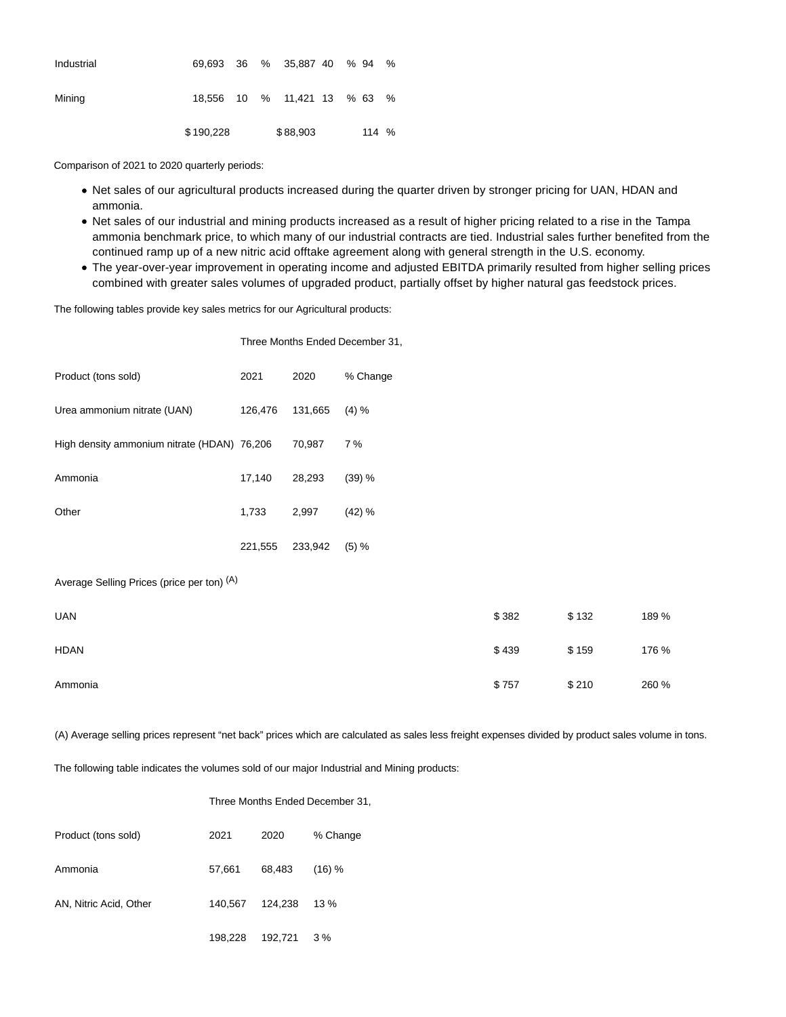| Industrial | 69,693 36 % 35,887 40 % 94 |  |          |  |                   | % |
|------------|----------------------------|--|----------|--|-------------------|---|
| Mining     | 18,556 10 % 11,421 13 % 63 |  |          |  |                   | % |
|            | \$190,228                  |  | \$88,903 |  | $114 \frac{9}{6}$ |   |

Comparison of 2021 to 2020 quarterly periods:

- Net sales of our agricultural products increased during the quarter driven by stronger pricing for UAN, HDAN and ammonia.
- Net sales of our industrial and mining products increased as a result of higher pricing related to a rise in the Tampa ammonia benchmark price, to which many of our industrial contracts are tied. Industrial sales further benefited from the continued ramp up of a new nitric acid offtake agreement along with general strength in the U.S. economy.
- The year-over-year improvement in operating income and adjusted EBITDA primarily resulted from higher selling prices combined with greater sales volumes of upgraded product, partially offset by higher natural gas feedstock prices.

The following tables provide key sales metrics for our Agricultural products:

|                                             |         |         | Three Months Ended December 31, |
|---------------------------------------------|---------|---------|---------------------------------|
| Product (tons sold)                         | 2021    | 2020    | % Change                        |
| Urea ammonium nitrate (UAN)                 | 126,476 | 131,665 | $(4) \%$                        |
| High density ammonium nitrate (HDAN) 76,206 |         | 70,987  | 7 %                             |
| Ammonia                                     | 17,140  | 28,293  | (39) %                          |
| Other                                       | 1,733   | 2,997   | (42) %                          |
|                                             | 221,555 | 233,942 | (5) %                           |

Average Selling Prices (price per ton) (A)

| <b>UAN</b>  | \$382 | \$132 | 189 % |
|-------------|-------|-------|-------|
| <b>HDAN</b> | \$439 | \$159 | 176 % |
| Ammonia     | \$757 | \$210 | 260 % |

(A) Average selling prices represent "net back" prices which are calculated as sales less freight expenses divided by product sales volume in tons.

The following table indicates the volumes sold of our major Industrial and Mining products:

# Three Months Ended December 31,

| Product (tons sold)    | 2021    | 2020    | % Change |
|------------------------|---------|---------|----------|
| Ammonia                | 57.661  | 68,483  | (16) %   |
| AN, Nitric Acid, Other | 140.567 | 124.238 | $13\%$   |
|                        | 198,228 | 192,721 | 3 %      |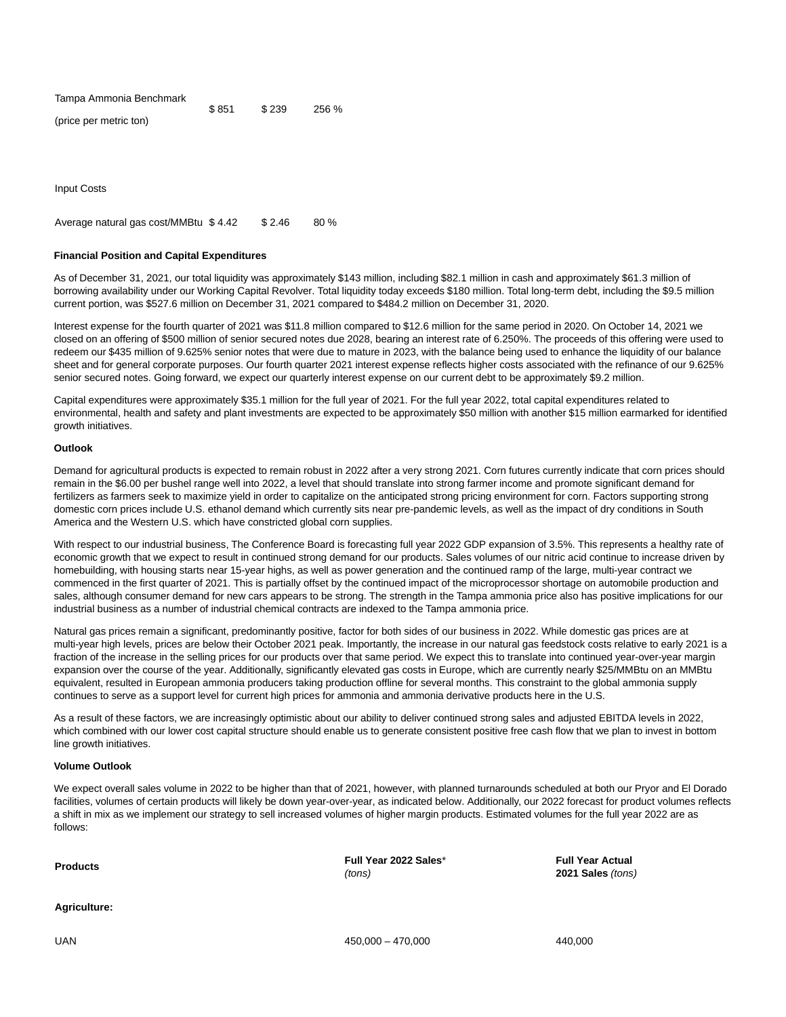| Tampa Ammonia Benchmark |       |       |       |
|-------------------------|-------|-------|-------|
|                         | \$851 | \$239 | 256 % |
| (price per metric ton)  |       |       |       |

Input Costs

Average natural gas cost/MMBtu  $$4.42$   $$2.46$   $80\%$ 

# **Financial Position and Capital Expenditures**

As of December 31, 2021, our total liquidity was approximately \$143 million, including \$82.1 million in cash and approximately \$61.3 million of borrowing availability under our Working Capital Revolver. Total liquidity today exceeds \$180 million. Total long-term debt, including the \$9.5 million current portion, was \$527.6 million on December 31, 2021 compared to \$484.2 million on December 31, 2020.

Interest expense for the fourth quarter of 2021 was \$11.8 million compared to \$12.6 million for the same period in 2020. On October 14, 2021 we closed on an offering of \$500 million of senior secured notes due 2028, bearing an interest rate of 6.250%. The proceeds of this offering were used to redeem our \$435 million of 9.625% senior notes that were due to mature in 2023, with the balance being used to enhance the liquidity of our balance sheet and for general corporate purposes. Our fourth quarter 2021 interest expense reflects higher costs associated with the refinance of our 9.625% senior secured notes. Going forward, we expect our quarterly interest expense on our current debt to be approximately \$9.2 million.

Capital expenditures were approximately \$35.1 million for the full year of 2021. For the full year 2022, total capital expenditures related to environmental, health and safety and plant investments are expected to be approximately \$50 million with another \$15 million earmarked for identified growth initiatives.

#### **Outlook**

Demand for agricultural products is expected to remain robust in 2022 after a very strong 2021. Corn futures currently indicate that corn prices should remain in the \$6.00 per bushel range well into 2022, a level that should translate into strong farmer income and promote significant demand for fertilizers as farmers seek to maximize yield in order to capitalize on the anticipated strong pricing environment for corn. Factors supporting strong domestic corn prices include U.S. ethanol demand which currently sits near pre-pandemic levels, as well as the impact of dry conditions in South America and the Western U.S. which have constricted global corn supplies.

With respect to our industrial business, The Conference Board is forecasting full year 2022 GDP expansion of 3.5%. This represents a healthy rate of economic growth that we expect to result in continued strong demand for our products. Sales volumes of our nitric acid continue to increase driven by homebuilding, with housing starts near 15-year highs, as well as power generation and the continued ramp of the large, multi-year contract we commenced in the first quarter of 2021. This is partially offset by the continued impact of the microprocessor shortage on automobile production and sales, although consumer demand for new cars appears to be strong. The strength in the Tampa ammonia price also has positive implications for our industrial business as a number of industrial chemical contracts are indexed to the Tampa ammonia price.

Natural gas prices remain a significant, predominantly positive, factor for both sides of our business in 2022. While domestic gas prices are at multi-year high levels, prices are below their October 2021 peak. Importantly, the increase in our natural gas feedstock costs relative to early 2021 is a fraction of the increase in the selling prices for our products over that same period. We expect this to translate into continued year-over-year margin expansion over the course of the year. Additionally, significantly elevated gas costs in Europe, which are currently nearly \$25/MMBtu on an MMBtu equivalent, resulted in European ammonia producers taking production offline for several months. This constraint to the global ammonia supply continues to serve as a support level for current high prices for ammonia and ammonia derivative products here in the U.S.

As a result of these factors, we are increasingly optimistic about our ability to deliver continued strong sales and adjusted EBITDA levels in 2022, which combined with our lower cost capital structure should enable us to generate consistent positive free cash flow that we plan to invest in bottom line growth initiatives.

#### **Volume Outlook**

We expect overall sales volume in 2022 to be higher than that of 2021, however, with planned turnarounds scheduled at both our Pryor and El Dorado facilities, volumes of certain products will likely be down year-over-year, as indicated below. Additionally, our 2022 forecast for product volumes reflects a shift in mix as we implement our strategy to sell increased volumes of higher margin products. Estimated volumes for the full year 2022 are as follows:

| <b>Products</b> |
|-----------------|
|-----------------|

**Products Full Year 2022 Sales**\* (tons)

**Full Year Actual 2021 Sales** (tons)

**Agriculture:**

UAN 450,000 – 470,000 440,000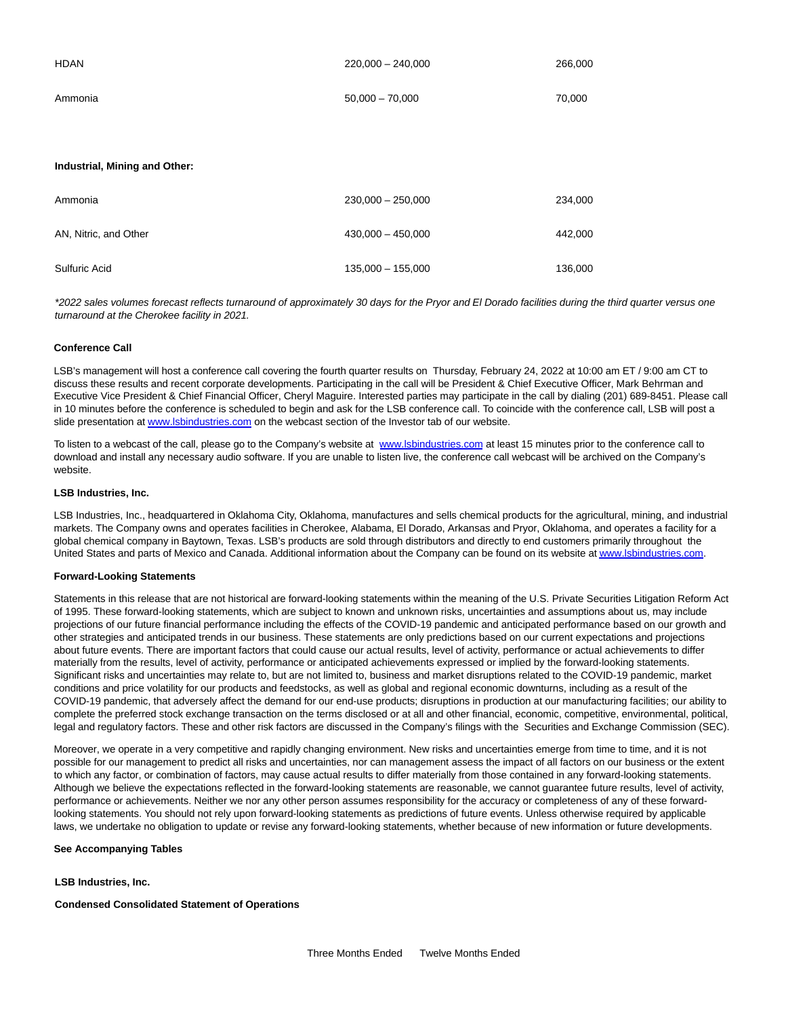| HDAN    | 220,000 - 240,000 | 266,000 |
|---------|-------------------|---------|
| Ammonia | $50,000 - 70,000$ | 70,000  |

### **Industrial, Mining and Other:**

| Ammonia               | $230,000 - 250,000$ | 234,000 |
|-----------------------|---------------------|---------|
| AN, Nitric, and Other | $430.000 - 450.000$ | 442,000 |
| Sulfuric Acid         | $135,000 - 155,000$ | 136,000 |

\*2022 sales volumes forecast reflects turnaround of approximately 30 days for the Pryor and El Dorado facilities during the third quarter versus one turnaround at the Cherokee facility in 2021.

## **Conference Call**

LSB's management will host a conference call covering the fourth quarter results on Thursday, February 24, 2022 at 10:00 am ET / 9:00 am CT to discuss these results and recent corporate developments. Participating in the call will be President & Chief Executive Officer, Mark Behrman and Executive Vice President & Chief Financial Officer, Cheryl Maguire. Interested parties may participate in the call by dialing (201) 689-8451. Please call in 10 minutes before the conference is scheduled to begin and ask for the LSB conference call. To coincide with the conference call, LSB will post a slide presentation a[t www.lsbindustries.com o](https://cts.businesswire.com/ct/CT?id=smartlink&url=http%3A%2F%2Fwww.lsbindustries.com&esheet=52584448&newsitemid=20220223006127&lan=en-US&anchor=www.lsbindustries.com&index=1&md5=fc474230f7c28fa41e3250a0f6657474)n the webcast section of the Investor tab of our website.

To listen to a webcast of the call, please go to the Company's website at [www.lsbindustries.com a](https://cts.businesswire.com/ct/CT?id=smartlink&url=http%3A%2F%2Fwww.lsbindustries.com&esheet=52584448&newsitemid=20220223006127&lan=en-US&anchor=www.lsbindustries.com&index=2&md5=1db30151e8b1d2fc406c730f8fda530d)t least 15 minutes prior to the conference call to download and install any necessary audio software. If you are unable to listen live, the conference call webcast will be archived on the Company's website.

#### **LSB Industries, Inc.**

LSB Industries, Inc., headquartered in Oklahoma City, Oklahoma, manufactures and sells chemical products for the agricultural, mining, and industrial markets. The Company owns and operates facilities in Cherokee, Alabama, El Dorado, Arkansas and Pryor, Oklahoma, and operates a facility for a global chemical company in Baytown, Texas. LSB's products are sold through distributors and directly to end customers primarily throughout the United States and parts of Mexico and Canada. Additional information about the Company can be found on its website a[t www.lsbindustries.com.](https://cts.businesswire.com/ct/CT?id=smartlink&url=http%3A%2F%2Fwww.lsbindustries.com&esheet=52584448&newsitemid=20220223006127&lan=en-US&anchor=www.lsbindustries.com&index=3&md5=4b7d61590dbeb90bb2f5c107f0b3e3da)

#### **Forward-Looking Statements**

Statements in this release that are not historical are forward-looking statements within the meaning of the U.S. Private Securities Litigation Reform Act of 1995. These forward-looking statements, which are subject to known and unknown risks, uncertainties and assumptions about us, may include projections of our future financial performance including the effects of the COVID-19 pandemic and anticipated performance based on our growth and other strategies and anticipated trends in our business. These statements are only predictions based on our current expectations and projections about future events. There are important factors that could cause our actual results, level of activity, performance or actual achievements to differ materially from the results, level of activity, performance or anticipated achievements expressed or implied by the forward-looking statements. Significant risks and uncertainties may relate to, but are not limited to, business and market disruptions related to the COVID-19 pandemic, market conditions and price volatility for our products and feedstocks, as well as global and regional economic downturns, including as a result of the COVID-19 pandemic, that adversely affect the demand for our end-use products; disruptions in production at our manufacturing facilities; our ability to complete the preferred stock exchange transaction on the terms disclosed or at all and other financial, economic, competitive, environmental, political, legal and regulatory factors. These and other risk factors are discussed in the Company's filings with the Securities and Exchange Commission (SEC).

Moreover, we operate in a very competitive and rapidly changing environment. New risks and uncertainties emerge from time to time, and it is not possible for our management to predict all risks and uncertainties, nor can management assess the impact of all factors on our business or the extent to which any factor, or combination of factors, may cause actual results to differ materially from those contained in any forward-looking statements. Although we believe the expectations reflected in the forward-looking statements are reasonable, we cannot guarantee future results, level of activity, performance or achievements. Neither we nor any other person assumes responsibility for the accuracy or completeness of any of these forwardlooking statements. You should not rely upon forward-looking statements as predictions of future events. Unless otherwise required by applicable laws, we undertake no obligation to update or revise any forward-looking statements, whether because of new information or future developments.

### **See Accompanying Tables**

**LSB Industries, Inc.**

**Condensed Consolidated Statement of Operations**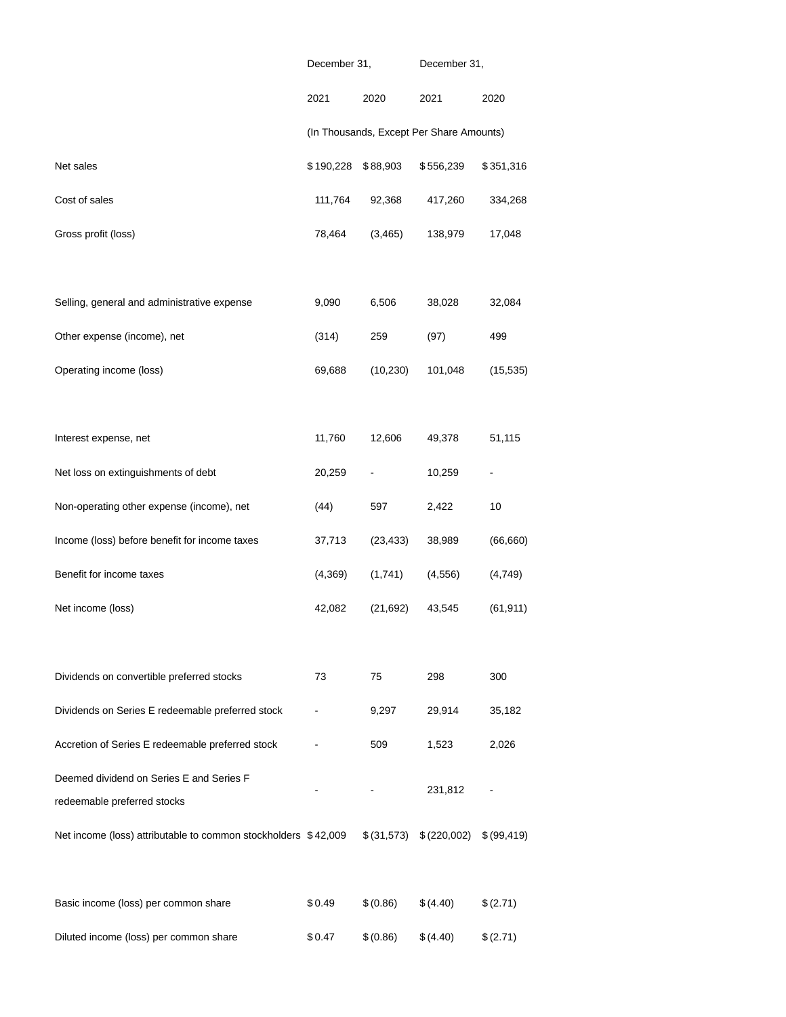|                                                                | December 31, |             | December 31,                             |            |
|----------------------------------------------------------------|--------------|-------------|------------------------------------------|------------|
|                                                                | 2021         | 2020        | 2021                                     | 2020       |
|                                                                |              |             | (In Thousands, Except Per Share Amounts) |            |
| Net sales                                                      | \$190,228    | \$88,903    | \$556,239                                | \$351,316  |
| Cost of sales                                                  | 111,764      | 92,368      | 417,260                                  | 334,268    |
| Gross profit (loss)                                            | 78,464       | (3, 465)    | 138,979                                  | 17,048     |
|                                                                |              |             |                                          |            |
| Selling, general and administrative expense                    | 9,090        | 6,506       | 38,028                                   | 32,084     |
| Other expense (income), net                                    | (314)        | 259         | (97)                                     | 499        |
| Operating income (loss)                                        | 69,688       | (10, 230)   | 101,048                                  | (15, 535)  |
|                                                                |              |             |                                          |            |
| Interest expense, net                                          | 11,760       | 12,606      | 49,378                                   | 51,115     |
| Net loss on extinguishments of debt                            | 20,259       |             | 10,259                                   |            |
| Non-operating other expense (income), net                      | (44)         | 597         | 2,422                                    | 10         |
| Income (loss) before benefit for income taxes                  | 37,713       | (23, 433)   | 38,989                                   | (66, 660)  |
| Benefit for income taxes                                       | (4,369)      | (1,741)     | (4, 556)                                 | (4,749)    |
| Net income (loss)                                              | 42,082       | (21, 692)   | 43,545                                   | (61, 911)  |
|                                                                |              |             |                                          |            |
| Dividends on convertible preferred stocks                      | 73           | 75          | 298                                      | 300        |
| Dividends on Series E redeemable preferred stock               |              | 9,297       | 29,914                                   | 35,182     |
| Accretion of Series E redeemable preferred stock               |              | 509         | 1,523                                    | 2,026      |
| Deemed dividend on Series E and Series F                       |              |             | 231,812                                  |            |
| redeemable preferred stocks                                    |              |             |                                          |            |
| Net income (loss) attributable to common stockholders \$42,009 |              | \$ (31,573) | \$(220,002)                              | \$(99,419) |
|                                                                |              |             |                                          |            |
| Basic income (loss) per common share                           | \$0.49       | \$(0.86)    | \$(4.40)                                 | \$(2.71)   |
| Diluted income (loss) per common share                         | \$0.47       | \$(0.86)    | \$(4.40)                                 | \$(2.71)   |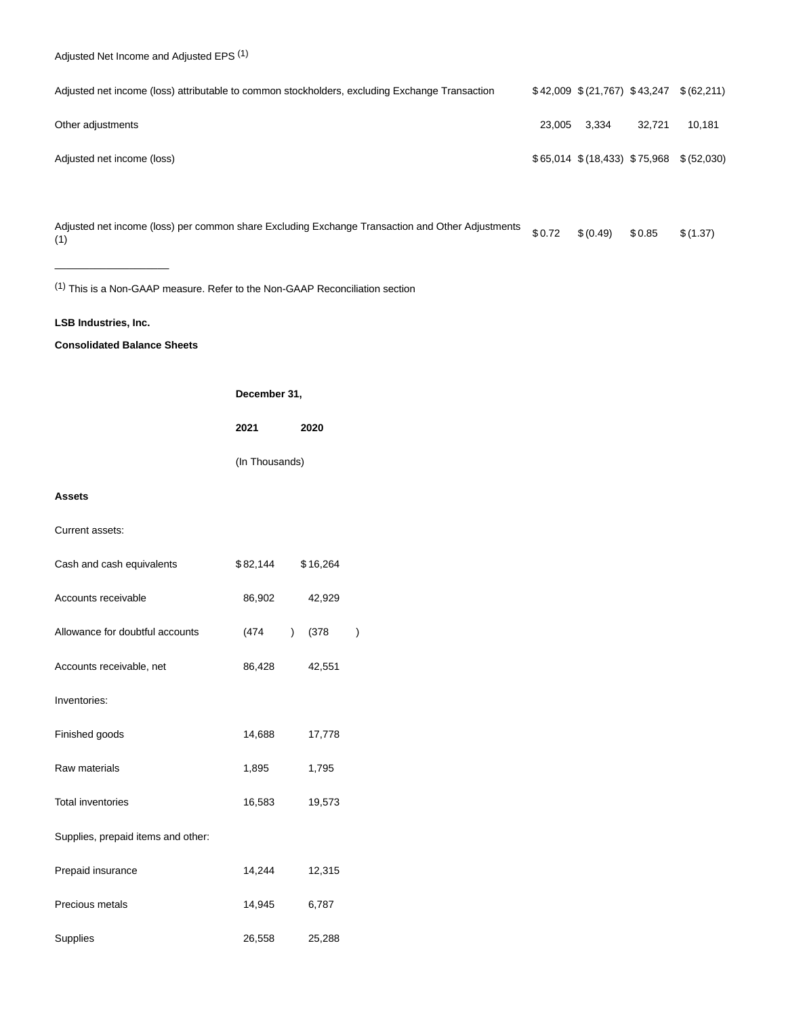# Adjusted Net Income and Adjusted EPS (1)

| Adjusted net income (loss) attributable to common stockholders, excluding Exchange Transaction |        | $$42,009$ $$(21,767)$ $$43,247$ $$(62,211)$ |        |        |
|------------------------------------------------------------------------------------------------|--------|---------------------------------------------|--------|--------|
| Other adjustments                                                                              | 23,005 | 3.334                                       | 32.721 | 10.181 |
| Adjusted net income (loss)                                                                     |        | $$65,014$ $$(18,433)$ $$75,968$ $$(52,030)$ |        |        |

Adjusted net income (loss) per common share Excluding Exchange Transaction and Other Adjustments (1) \$ 0.72 \$ (0.49) \$ 0.85 \$ (1.37)

(1) This is a Non-GAAP measure. Refer to the Non-GAAP Reconciliation section

**LSB Industries, Inc.**

 $\_$ 

**Consolidated Balance Sheets**

| 2021     |                |   | 2020  |
|----------|----------------|---|-------|
|          | (In Thousands) |   |       |
|          |                |   |       |
|          |                |   |       |
| \$82,144 |                |   | \$16, |
|          | 86,902         |   | 42,   |
| (474     |                | ) | (37)  |
|          |                |   |       |

**December 31,**

# **Assets**

Current assets:

| Cash and cash equivalents          | \$82,144 |               | \$16,264 |               |
|------------------------------------|----------|---------------|----------|---------------|
| Accounts receivable                | 86,902   |               | 42,929   |               |
| Allowance for doubtful accounts    | (474     | $\mathcal{L}$ | (378)    | $\mathcal{E}$ |
| Accounts receivable, net           | 86,428   |               | 42,551   |               |
| Inventories:                       |          |               |          |               |
| Finished goods                     | 14,688   |               | 17,778   |               |
| Raw materials                      | 1,895    |               | 1,795    |               |
| <b>Total inventories</b>           | 16,583   |               | 19,573   |               |
| Supplies, prepaid items and other: |          |               |          |               |
| Prepaid insurance                  | 14,244   |               | 12,315   |               |
| Precious metals                    | 14,945   |               | 6,787    |               |
| Supplies                           | 26,558   |               | 25,288   |               |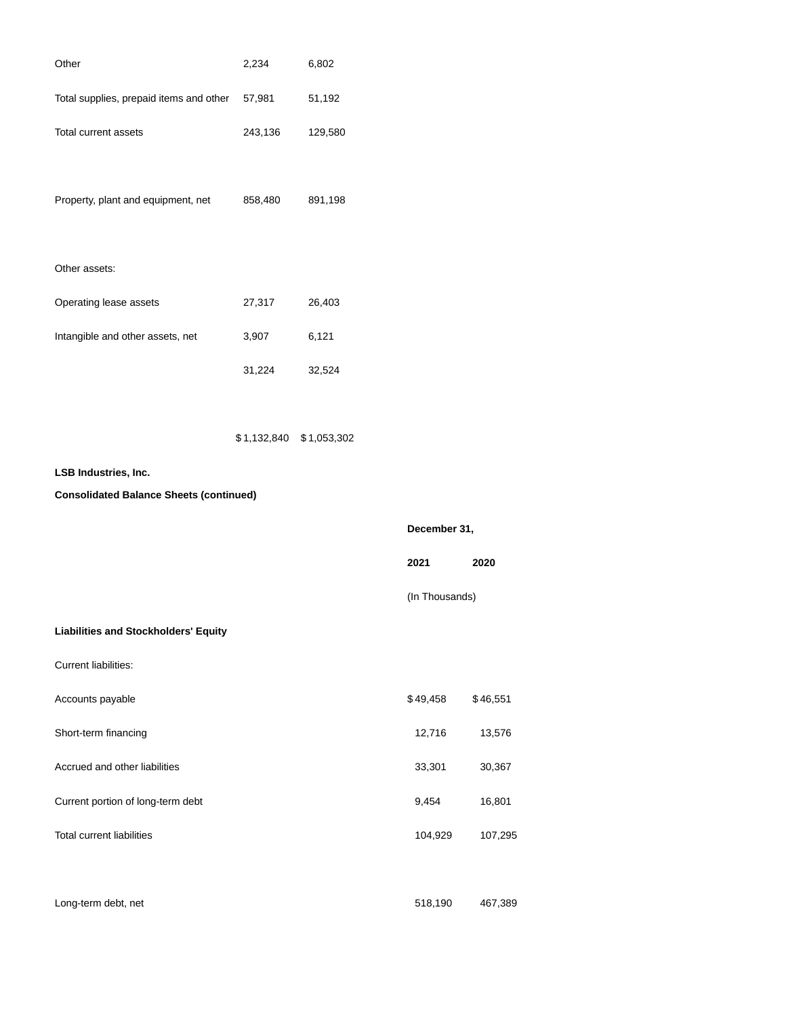| Other                                          | 2,234                   | 6,802   |                |          |
|------------------------------------------------|-------------------------|---------|----------------|----------|
| Total supplies, prepaid items and other        | 57,981                  | 51,192  |                |          |
| Total current assets                           | 243,136                 | 129,580 |                |          |
|                                                |                         |         |                |          |
| Property, plant and equipment, net             | 858,480                 | 891,198 |                |          |
|                                                |                         |         |                |          |
| Other assets:                                  |                         |         |                |          |
| Operating lease assets                         | 27,317                  | 26,403  |                |          |
| Intangible and other assets, net               | 3,907                   | 6,121   |                |          |
|                                                | 31,224                  | 32,524  |                |          |
|                                                |                         |         |                |          |
|                                                | \$1,132,840 \$1,053,302 |         |                |          |
| LSB Industries, Inc.                           |                         |         |                |          |
| <b>Consolidated Balance Sheets (continued)</b> |                         |         |                |          |
|                                                |                         |         | December 31,   |          |
|                                                |                         |         | 2021           | 2020     |
|                                                |                         |         | (In Thousands) |          |
| Liabilities and Stockholders' Equity           |                         |         |                |          |
| Current liabilities:                           |                         |         |                |          |
|                                                |                         |         |                |          |
| Accounts payable                               |                         |         | \$49,458       | \$46,551 |
| Short-term financing                           |                         |         | 12,716         | 13,576   |
| Accrued and other liabilities                  |                         |         | 33,301         | 30,367   |
| Current portion of long-term debt              |                         |         | 9,454          | 16,801   |
| <b>Total current liabilities</b>               |                         |         | 104,929        | 107,295  |
|                                                |                         |         |                |          |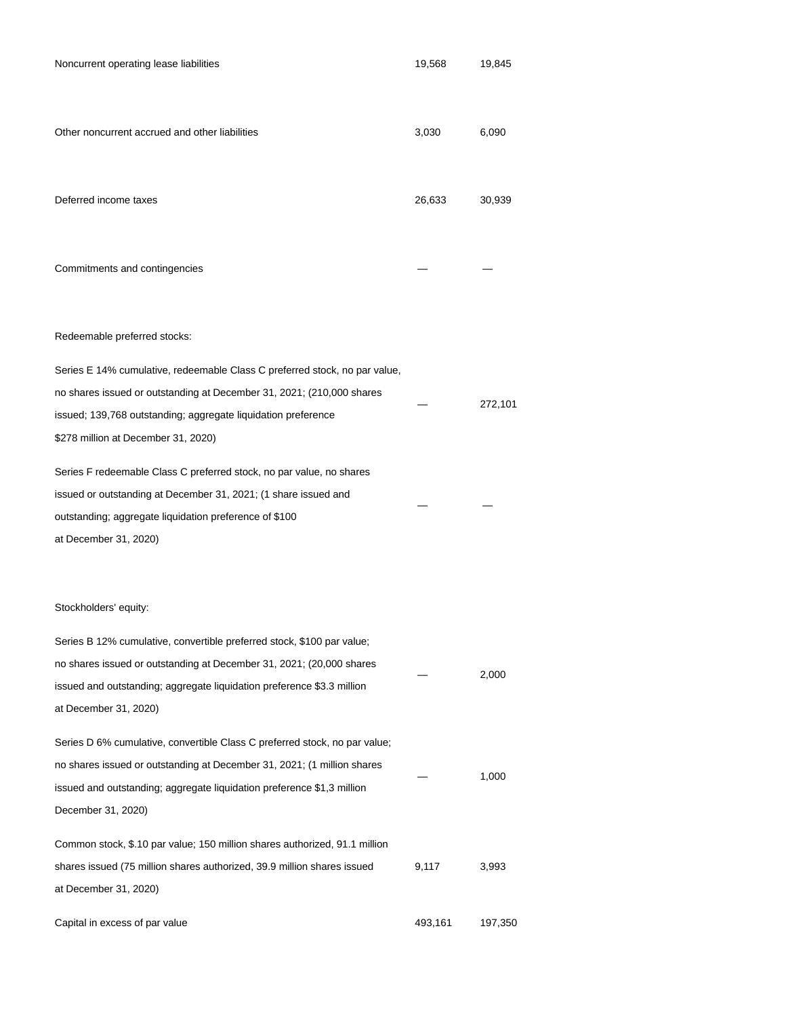| Noncurrent operating lease liabilities                                                                                                                                        | 19,568  | 19,845  |
|-------------------------------------------------------------------------------------------------------------------------------------------------------------------------------|---------|---------|
|                                                                                                                                                                               |         |         |
| Other noncurrent accrued and other liabilities                                                                                                                                | 3,030   | 6,090   |
| Deferred income taxes                                                                                                                                                         | 26,633  | 30,939  |
| Commitments and contingencies                                                                                                                                                 |         |         |
| Redeemable preferred stocks:                                                                                                                                                  |         |         |
| Series E 14% cumulative, redeemable Class C preferred stock, no par value,                                                                                                    |         |         |
| no shares issued or outstanding at December 31, 2021; (210,000 shares<br>issued; 139,768 outstanding; aggregate liquidation preference<br>\$278 million at December 31, 2020) |         | 272,101 |
| Series F redeemable Class C preferred stock, no par value, no shares                                                                                                          |         |         |
| issued or outstanding at December 31, 2021; (1 share issued and                                                                                                               |         |         |
| outstanding; aggregate liquidation preference of \$100                                                                                                                        |         |         |
| at December 31, 2020)                                                                                                                                                         |         |         |
| Stockholders' equity:                                                                                                                                                         |         |         |
| Series B 12% cumulative, convertible preferred stock, \$100 par value;                                                                                                        |         |         |
| no shares issued or outstanding at December 31, 2021; (20,000 shares                                                                                                          |         | 2,000   |
| issued and outstanding; aggregate liquidation preference \$3.3 million<br>at December 31, 2020)                                                                               |         |         |
| Series D 6% cumulative, convertible Class C preferred stock, no par value;                                                                                                    |         |         |
| no shares issued or outstanding at December 31, 2021; (1 million shares                                                                                                       |         | 1,000   |
| issued and outstanding; aggregate liquidation preference \$1,3 million                                                                                                        |         |         |
| December 31, 2020)                                                                                                                                                            |         |         |
| Common stock, \$.10 par value; 150 million shares authorized, 91.1 million                                                                                                    |         |         |
| shares issued (75 million shares authorized, 39.9 million shares issued                                                                                                       | 9,117   | 3,993   |
| at December 31, 2020)                                                                                                                                                         |         |         |
| Capital in excess of par value                                                                                                                                                | 493,161 | 197,350 |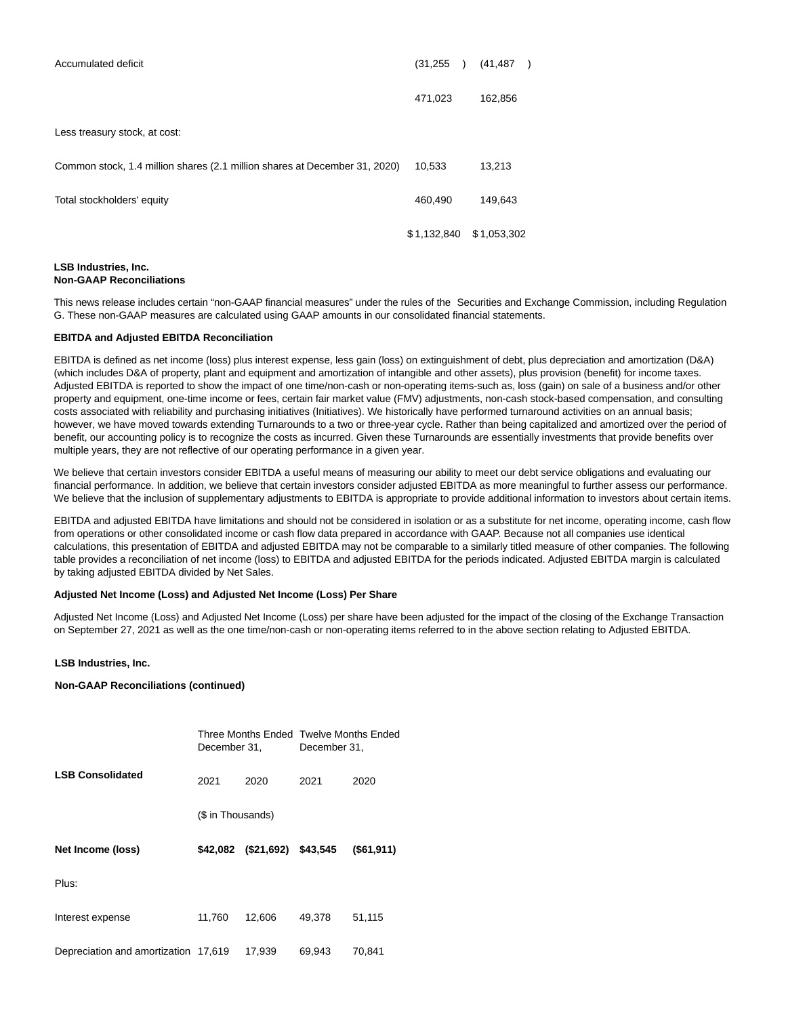| Accumulated deficit                                                        | (31,255)    | (41, 487)<br>$\rightarrow$ |
|----------------------------------------------------------------------------|-------------|----------------------------|
|                                                                            | 471,023     | 162,856                    |
| Less treasury stock, at cost:                                              |             |                            |
| Common stock, 1.4 million shares (2.1 million shares at December 31, 2020) | 10,533      | 13,213                     |
| Total stockholders' equity                                                 | 460,490     | 149,643                    |
|                                                                            | \$1,132,840 | \$1,053,302                |
|                                                                            |             |                            |

#### **LSB Industries, Inc. Non-GAAP Reconciliations**

This news release includes certain "non-GAAP financial measures" under the rules of the Securities and Exchange Commission, including Regulation G. These non-GAAP measures are calculated using GAAP amounts in our consolidated financial statements.

## **EBITDA and Adjusted EBITDA Reconciliation**

EBITDA is defined as net income (loss) plus interest expense, less gain (loss) on extinguishment of debt, plus depreciation and amortization (D&A) (which includes D&A of property, plant and equipment and amortization of intangible and other assets), plus provision (benefit) for income taxes. Adjusted EBITDA is reported to show the impact of one time/non-cash or non-operating items-such as, loss (gain) on sale of a business and/or other property and equipment, one-time income or fees, certain fair market value (FMV) adjustments, non-cash stock-based compensation, and consulting costs associated with reliability and purchasing initiatives (Initiatives). We historically have performed turnaround activities on an annual basis; however, we have moved towards extending Turnarounds to a two or three-year cycle. Rather than being capitalized and amortized over the period of benefit, our accounting policy is to recognize the costs as incurred. Given these Turnarounds are essentially investments that provide benefits over multiple years, they are not reflective of our operating performance in a given year.

We believe that certain investors consider EBITDA a useful means of measuring our ability to meet our debt service obligations and evaluating our financial performance. In addition, we believe that certain investors consider adjusted EBITDA as more meaningful to further assess our performance. We believe that the inclusion of supplementary adjustments to EBITDA is appropriate to provide additional information to investors about certain items.

EBITDA and adjusted EBITDA have limitations and should not be considered in isolation or as a substitute for net income, operating income, cash flow from operations or other consolidated income or cash flow data prepared in accordance with GAAP. Because not all companies use identical calculations, this presentation of EBITDA and adjusted EBITDA may not be comparable to a similarly titled measure of other companies. The following table provides a reconciliation of net income (loss) to EBITDA and adjusted EBITDA for the periods indicated. Adjusted EBITDA margin is calculated by taking adjusted EBITDA divided by Net Sales.

## **Adjusted Net Income (Loss) and Adjusted Net Income (Loss) Per Share**

Adjusted Net Income (Loss) and Adjusted Net Income (Loss) per share have been adjusted for the impact of the closing of the Exchange Transaction on September 27, 2021 as well as the one time/non-cash or non-operating items referred to in the above section relating to Adjusted EBITDA.

### **LSB Industries, Inc.**

## **Non-GAAP Reconciliations (continued)**

|                                      | December 31,      |                              | Three Months Ended Twelve Months Ended<br>December 31, |            |  |  |
|--------------------------------------|-------------------|------------------------------|--------------------------------------------------------|------------|--|--|
| <b>LSB Consolidated</b>              | 2021              | 2020                         | 2021                                                   | 2020       |  |  |
|                                      | (\$ in Thousands) |                              |                                                        |            |  |  |
| Net Income (loss)                    |                   | \$42,082 (\$21,692) \$43,545 |                                                        | (\$61,911) |  |  |
| Plus:                                |                   |                              |                                                        |            |  |  |
| Interest expense                     | 11.760            | 12,606                       | 49,378                                                 | 51,115     |  |  |
| Depreciation and amortization 17,619 |                   | 17,939                       | 69.943                                                 | 70.841     |  |  |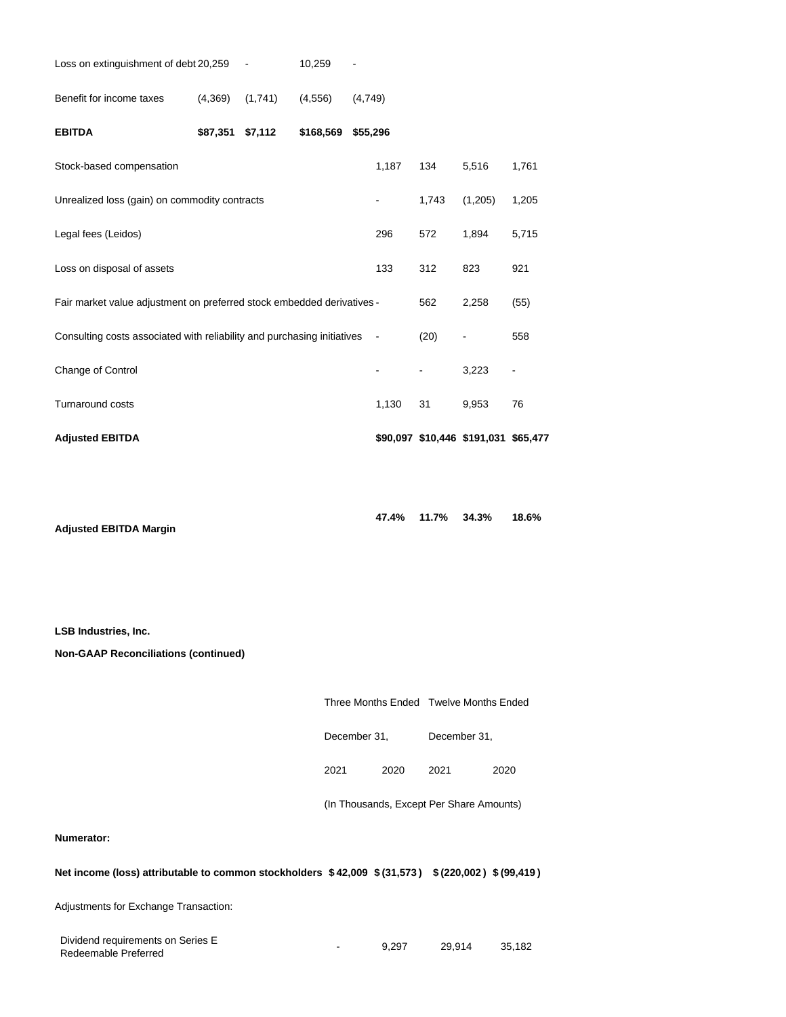| Loss on extinguishment of debt 20,259                                                            |          | $\blacksquare$ | 10,259    |              |                |       |                                          |       |
|--------------------------------------------------------------------------------------------------|----------|----------------|-----------|--------------|----------------|-------|------------------------------------------|-------|
| Benefit for income taxes                                                                         | (4,369)  | (1,741)        | (4, 556)  | (4, 749)     |                |       |                                          |       |
| <b>EBITDA</b>                                                                                    | \$87,351 | \$7,112        | \$168,569 | \$55,296     |                |       |                                          |       |
| Stock-based compensation                                                                         |          |                |           |              | 1,187          | 134   | 5,516                                    | 1,761 |
| Unrealized loss (gain) on commodity contracts                                                    |          |                |           |              |                | 1,743 | (1, 205)                                 | 1,205 |
| Legal fees (Leidos)                                                                              |          |                |           |              | 296            | 572   | 1,894                                    | 5,715 |
| Loss on disposal of assets                                                                       |          |                |           |              | 133            | 312   | 823                                      | 921   |
| Fair market value adjustment on preferred stock embedded derivatives -                           |          |                |           |              |                | 562   | 2,258                                    | (55)  |
| Consulting costs associated with reliability and purchasing initiatives                          |          |                |           |              | $\blacksquare$ | (20)  |                                          | 558   |
| Change of Control                                                                                |          |                |           |              |                |       | 3,223                                    |       |
| Turnaround costs                                                                                 |          |                |           |              | 1,130          | 31    | 9,953                                    | 76    |
| <b>Adjusted EBITDA</b>                                                                           |          |                |           |              |                |       | \$90,097 \$10,446 \$191,031 \$65,477     |       |
|                                                                                                  |          |                |           |              |                |       |                                          |       |
|                                                                                                  |          |                |           |              | 47.4%          | 11.7% | 34.3%                                    | 18.6% |
| <b>Adjusted EBITDA Margin</b>                                                                    |          |                |           |              |                |       |                                          |       |
|                                                                                                  |          |                |           |              |                |       |                                          |       |
|                                                                                                  |          |                |           |              |                |       |                                          |       |
| LSB Industries, Inc.<br><b>Non-GAAP Reconciliations (continued)</b>                              |          |                |           |              |                |       |                                          |       |
|                                                                                                  |          |                |           |              |                |       |                                          |       |
|                                                                                                  |          |                |           |              |                |       | Three Months Ended Twelve Months Ended   |       |
|                                                                                                  |          |                |           | December 31, |                |       | December 31,                             |       |
|                                                                                                  |          |                | 2021      |              | 2020           | 2021  | 2020                                     |       |
|                                                                                                  |          |                |           |              |                |       | (In Thousands, Except Per Share Amounts) |       |
| Numerator:                                                                                       |          |                |           |              |                |       |                                          |       |
| Net income (loss) attributable to common stockholders \$42,009 \$(31,573) \$(220,002) \$(99,419) |          |                |           |              |                |       |                                          |       |

Adjustments for Exchange Transaction:

Dividend requirements on Series E Dividend requirements on Series E<br>Redeemable Preferred - 9,297 29,914 35,182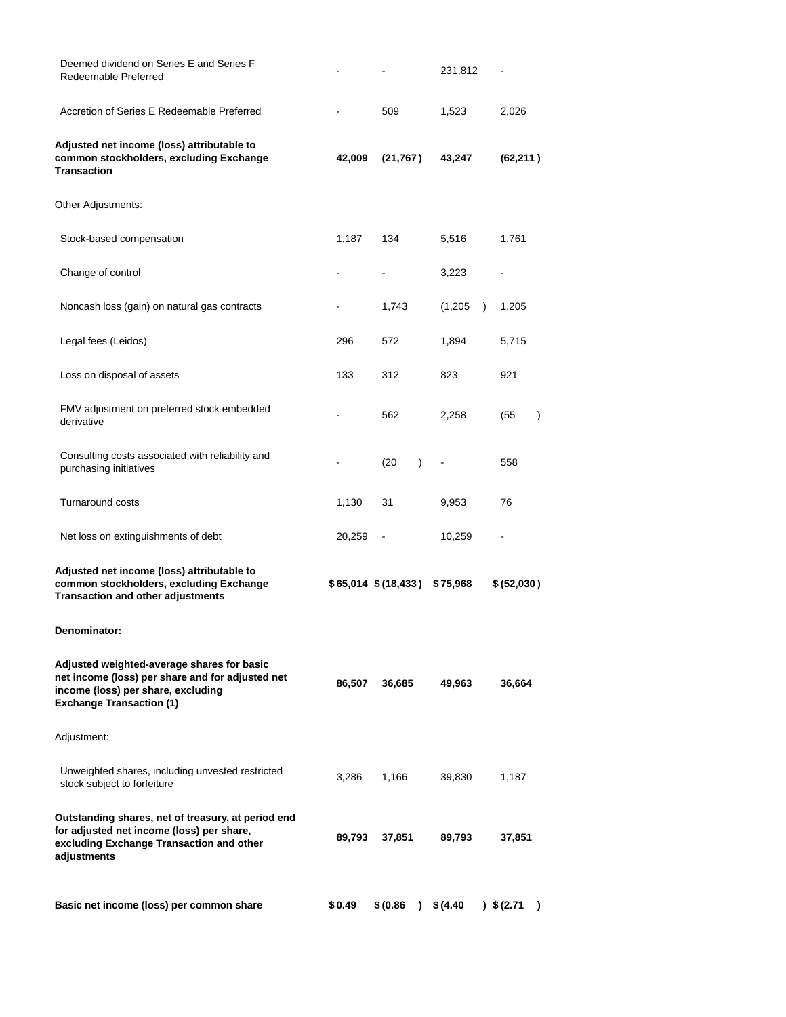| Basic net income (loss) per common share                                                                                                                                | \$0.49 | \$ (0.86)<br>$\mathbf{r}$ | \$(4.40) | $)$ \$ (2.71       |
|-------------------------------------------------------------------------------------------------------------------------------------------------------------------------|--------|---------------------------|----------|--------------------|
| Outstanding shares, net of treasury, at period end<br>for adjusted net income (loss) per share,<br>excluding Exchange Transaction and other<br>adjustments              | 89,793 | 37,851                    | 89,793   | 37,851             |
| Unweighted shares, including unvested restricted<br>stock subject to forfeiture                                                                                         | 3,286  | 1,166                     | 39,830   | 1,187              |
| Adjustment:                                                                                                                                                             |        |                           |          |                    |
| Adjusted weighted-average shares for basic<br>net income (loss) per share and for adjusted net<br>income (loss) per share, excluding<br><b>Exchange Transaction (1)</b> | 86,507 | 36,685                    | 49,963   | 36,664             |
| Denominator:                                                                                                                                                            |        |                           |          |                    |
| Adjusted net income (loss) attributable to<br>common stockholders, excluding Exchange<br><b>Transaction and other adjustments</b>                                       |        | $$65,014$ $$(18,433)$     | \$75,968 | \$ (52,030)        |
| Net loss on extinguishments of debt                                                                                                                                     | 20,259 | $\overline{\phantom{0}}$  | 10,259   |                    |
| <b>Turnaround costs</b>                                                                                                                                                 | 1,130  | 31                        | 9,953    | 76                 |
| Consulting costs associated with reliability and<br>purchasing initiatives                                                                                              |        | (20)<br>$\mathcal{E}$     |          | 558                |
| FMV adjustment on preferred stock embedded<br>derivative                                                                                                                |        | 562                       | 2,258    | (55)<br>)          |
| Loss on disposal of assets                                                                                                                                              | 133    | 312                       | 823      | 921                |
| Legal fees (Leidos)                                                                                                                                                     | 296    | 572                       | 1,894    | 5,715              |
| Noncash loss (gain) on natural gas contracts                                                                                                                            |        | 1,743                     | (1,205)  | 1,205<br>$\lambda$ |
| Change of control                                                                                                                                                       |        |                           | 3,223    |                    |
| Stock-based compensation                                                                                                                                                | 1,187  | 134                       | 5,516    | 1,761              |
| Other Adjustments:                                                                                                                                                      |        |                           |          |                    |
| Adjusted net income (loss) attributable to<br>common stockholders, excluding Exchange<br><b>Transaction</b>                                                             | 42,009 | (21, 767)                 | 43,247   | (62, 211)          |
| Accretion of Series E Redeemable Preferred                                                                                                                              |        | 509                       | 1,523    | 2,026              |
| Deemed dividend on Series E and Series F<br>Redeemable Preferred                                                                                                        |        |                           | 231,812  |                    |